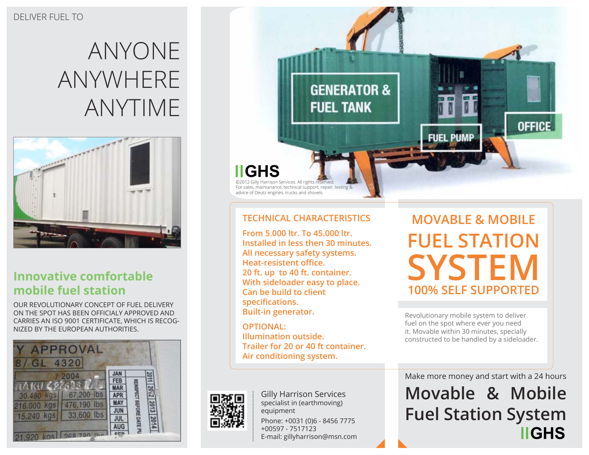# Anyone Anywhere anytime



### **Innovative comfortable mobile fuel station**

Our revolutionary concept of fuel delivery on the spot has been officialy approved and carries an ISO 9001 certificate, which is recognized by the European authorities.





#### **Technical Characteristics**

**From 5.000 ltr. To 45.000 ltr. Installed in less then 30 minutes. All necessary safety systems. Heat-resistent office. 20 ft. up to 40 ft. container. With sideloader easy to place. Can be build to client specifications. Built-in generator.**

**Optional: Illumination outside. Trailer for 20 or 40 ft container. Air conditioning system.**



Phone: +0031 (0)6 - 8456 7775 Gilly Harrison Services specialist in (earthmoving) equipment

+00597 - 7517123 E-mail: gillyharrison@msn.com

**Movable & Mobile Fuel Station** SYSTEM **100% Sel f supported**

Revolutionary mobile system to deliver fuel on the spot where ever you need it. Movable within 30 minutes, specially constructed to be handled by a sideloader.

Make more money and start with a 24 hours

**Movable & Mobile Fuel Station System IIGHS**